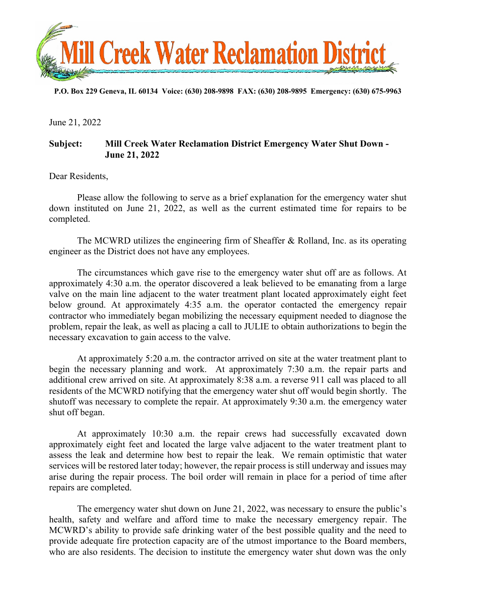

**P.O. Box 229 Geneva, IL 60134 Voice: (630) 208-9898 FAX: (630) 208-9895 Emergency: (630) 675-9963** 

June 21, 2022

## **Subject: Mill Creek Water Reclamation District Emergency Water Shut Down - June 21, 2022**

Dear Residents,

Please allow the following to serve as a brief explanation for the emergency water shut down instituted on June 21, 2022, as well as the current estimated time for repairs to be completed.

The MCWRD utilizes the engineering firm of Sheaffer & Rolland, Inc. as its operating engineer as the District does not have any employees.

The circumstances which gave rise to the emergency water shut off are as follows. At approximately 4:30 a.m. the operator discovered a leak believed to be emanating from a large valve on the main line adjacent to the water treatment plant located approximately eight feet below ground. At approximately 4:35 a.m. the operator contacted the emergency repair contractor who immediately began mobilizing the necessary equipment needed to diagnose the problem, repair the leak, as well as placing a call to JULIE to obtain authorizations to begin the necessary excavation to gain access to the valve.

At approximately 5:20 a.m. the contractor arrived on site at the water treatment plant to begin the necessary planning and work. At approximately 7:30 a.m. the repair parts and additional crew arrived on site. At approximately 8:38 a.m. a reverse 911 call was placed to all residents of the MCWRD notifying that the emergency water shut off would begin shortly. The shutoff was necessary to complete the repair. At approximately 9:30 a.m. the emergency water shut off began.

At approximately 10:30 a.m. the repair crews had successfully excavated down approximately eight feet and located the large valve adjacent to the water treatment plant to assess the leak and determine how best to repair the leak. We remain optimistic that water services will be restored later today; however, the repair process is still underway and issues may arise during the repair process. The boil order will remain in place for a period of time after repairs are completed.

The emergency water shut down on June 21, 2022, was necessary to ensure the public's health, safety and welfare and afford time to make the necessary emergency repair. The MCWRD's ability to provide safe drinking water of the best possible quality and the need to provide adequate fire protection capacity are of the utmost importance to the Board members, who are also residents. The decision to institute the emergency water shut down was the only